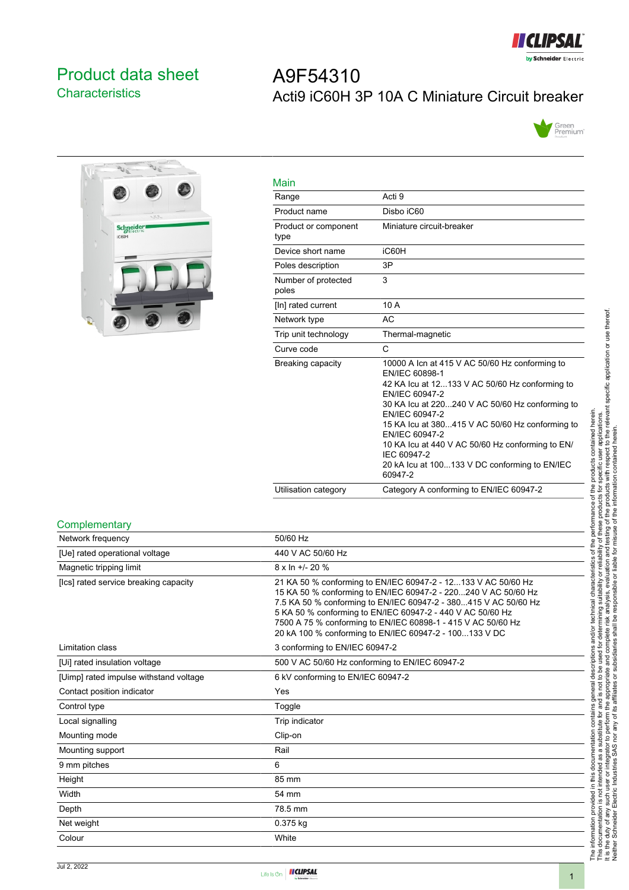

# <span id="page-0-0"></span>Product data sheet **Characteristics**

# A9F54310 Acti9 iC60H 3P 10A C Miniature Circuit breaker





| Main                         |                                                                                                                                                                                                                                                                                                                                                                                                               |
|------------------------------|---------------------------------------------------------------------------------------------------------------------------------------------------------------------------------------------------------------------------------------------------------------------------------------------------------------------------------------------------------------------------------------------------------------|
| Range                        | Acti 9                                                                                                                                                                                                                                                                                                                                                                                                        |
| Product name                 | Disbo iC60                                                                                                                                                                                                                                                                                                                                                                                                    |
| Product or component<br>type | Miniature circuit-breaker                                                                                                                                                                                                                                                                                                                                                                                     |
| Device short name            | iC60H                                                                                                                                                                                                                                                                                                                                                                                                         |
| Poles description            | 3P                                                                                                                                                                                                                                                                                                                                                                                                            |
| Number of protected<br>poles | 3                                                                                                                                                                                                                                                                                                                                                                                                             |
| [In] rated current           | 10 A                                                                                                                                                                                                                                                                                                                                                                                                          |
| Network type                 | AC                                                                                                                                                                                                                                                                                                                                                                                                            |
| Trip unit technology         | Thermal-magnetic                                                                                                                                                                                                                                                                                                                                                                                              |
| Curve code                   | C                                                                                                                                                                                                                                                                                                                                                                                                             |
| Breaking capacity            | 10000 A Icn at 415 V AC 50/60 Hz conforming to<br>EN/IEC 60898-1<br>42 KA Icu at 12133 V AC 50/60 Hz conforming to<br>EN/IEC 60947-2<br>30 KA lcu at 220240 V AC 50/60 Hz conforming to<br>EN/IEC 60947-2<br>15 KA Icu at 380415 V AC 50/60 Hz conforming to<br>EN/IEC 60947-2<br>10 KA lcu at 440 V AC 50/60 Hz conforming to EN/<br>IEC 60947-2<br>20 kA lcu at 100133 V DC conforming to EN/IEC<br>60947-2 |
| Utilisation category         | Category A conforming to EN/IEC 60947-2                                                                                                                                                                                                                                                                                                                                                                       |

#### **Complementary**

| Network frequency                      | 50/60 Hz                                                                                                                                                                                                                                                                                                                                                                                   |
|----------------------------------------|--------------------------------------------------------------------------------------------------------------------------------------------------------------------------------------------------------------------------------------------------------------------------------------------------------------------------------------------------------------------------------------------|
| [Ue] rated operational voltage         | 440 V AC 50/60 Hz                                                                                                                                                                                                                                                                                                                                                                          |
| Magnetic tripping limit                | $8 \times \ln +1$ - 20 %                                                                                                                                                                                                                                                                                                                                                                   |
| [Ics] rated service breaking capacity  | 21 KA 50 % conforming to EN/IEC 60947-2 - 12133 V AC 50/60 Hz<br>15 KA 50 % conforming to EN/IEC 60947-2 - 220240 V AC 50/60 Hz<br>7.5 KA 50 % conforming to EN/IEC 60947-2 - 380415 V AC 50/60 Hz<br>5 KA 50 % conforming to EN/IEC 60947-2 - 440 V AC 50/60 Hz<br>7500 A 75 % conforming to EN/IEC 60898-1 - 415 V AC 50/60 Hz<br>20 kA 100 % conforming to EN/IEC 60947-2 - 100133 V DC |
| Limitation class                       | 3 conforming to EN/IEC 60947-2                                                                                                                                                                                                                                                                                                                                                             |
| [Ui] rated insulation voltage          | 500 V AC 50/60 Hz conforming to EN/IEC 60947-2                                                                                                                                                                                                                                                                                                                                             |
| [Uimp] rated impulse withstand voltage | 6 kV conforming to EN/IEC 60947-2                                                                                                                                                                                                                                                                                                                                                          |
| Contact position indicator             | Yes                                                                                                                                                                                                                                                                                                                                                                                        |
| Control type                           | Toggle                                                                                                                                                                                                                                                                                                                                                                                     |
| Local signalling                       | Trip indicator                                                                                                                                                                                                                                                                                                                                                                             |
| Mounting mode                          | Clip-on                                                                                                                                                                                                                                                                                                                                                                                    |
| Mounting support                       | Rail                                                                                                                                                                                                                                                                                                                                                                                       |
| 9 mm pitches                           | 6                                                                                                                                                                                                                                                                                                                                                                                          |
| Height                                 | 85 mm                                                                                                                                                                                                                                                                                                                                                                                      |
| Width                                  | 54 mm                                                                                                                                                                                                                                                                                                                                                                                      |
| Depth                                  | 78.5 mm                                                                                                                                                                                                                                                                                                                                                                                    |
| Net weight                             | 0.375 kg                                                                                                                                                                                                                                                                                                                                                                                   |
| Colour                                 | White                                                                                                                                                                                                                                                                                                                                                                                      |